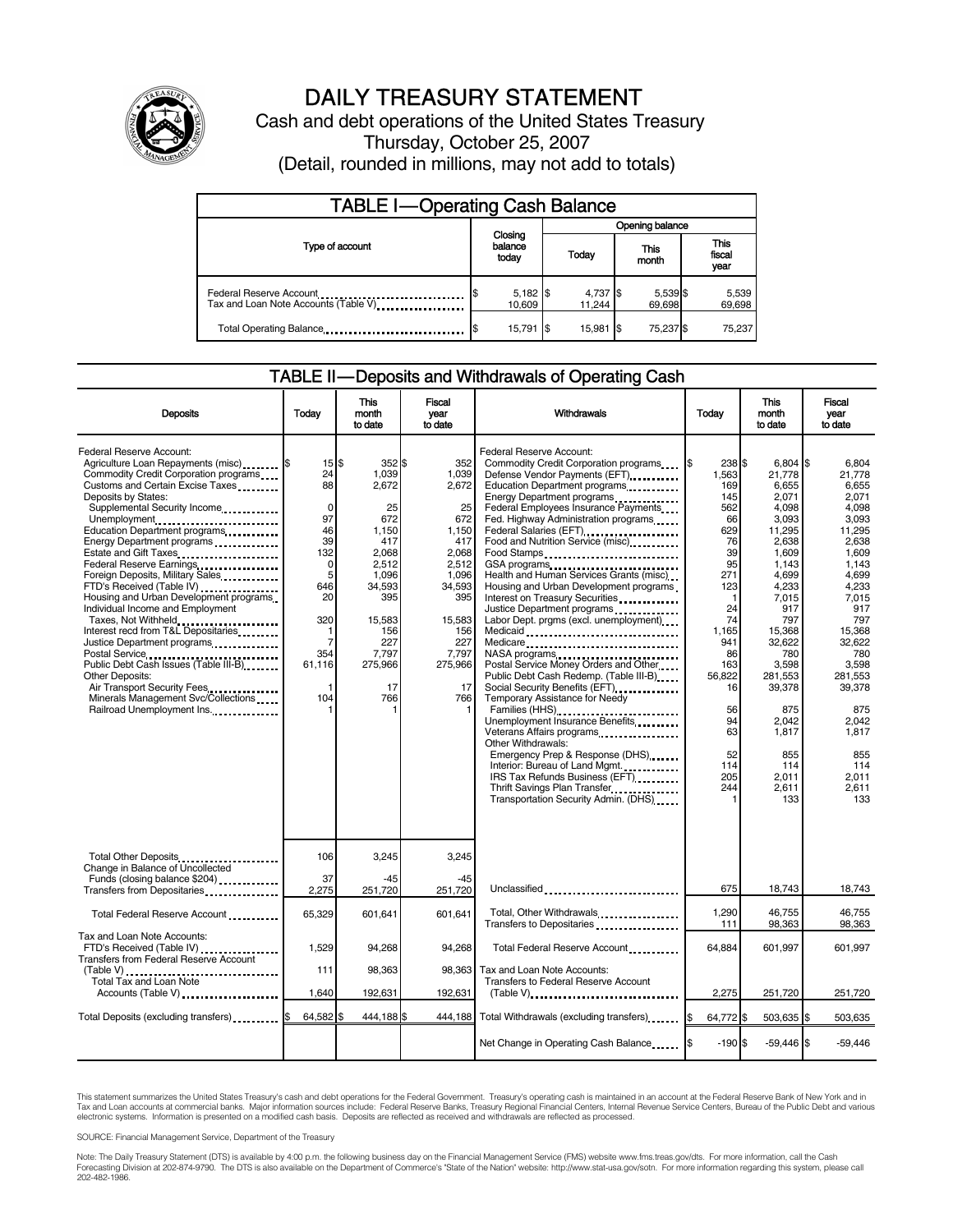

# DAILY TREASURY STATEMENT

Cash and debt operations of the United States Treasury Thursday, October 25, 2007 (Detail, rounded in millions, may not add to totals)

| <b>TABLE I-Operating Cash Balance</b>                                                                       |  |                             |                 |                    |     |                      |  |                               |
|-------------------------------------------------------------------------------------------------------------|--|-----------------------------|-----------------|--------------------|-----|----------------------|--|-------------------------------|
|                                                                                                             |  |                             | Opening balance |                    |     |                      |  |                               |
| Type of account                                                                                             |  | Closing<br>balance<br>today |                 | Todav              |     | <b>This</b><br>month |  | <b>This</b><br>fiscal<br>year |
| Federal Reserve Account<br>Tax and Loan Note Accounts (Table V)                                             |  | $5,182$ \$<br>10.609        |                 | 4,737 \$<br>11,244 |     | 5,539 \$<br>69.698   |  | 5,539<br>69,698               |
| Total Operating Balance <b>[19]</b> Total Operating Balance <b>[19]</b> Total Operating Balance <b>[19]</b> |  | 15,791   \$                 |                 | 15,981             | I\$ | 75.237 \$            |  | 75.237                        |

### TABLE II — Deposits and Withdrawals of Operating Cash

| <b>Deposits</b>                                                                                                                                                                                                                                                                                                                                                                                                                                                                                                                                                                                                                                                                                                                                                      | Todav                                                                                                                                                    | This<br>month<br>to date                                                                                                                                 | <b>Fiscal</b><br>vear<br>to date                                                                                                                             | Withdrawals                                                                                                                                                                                                                                                                                                                                                                                                                                                                                                                                                                                                                                                                                                                                                                                                                                                                                                                                                          | Todav                                                                                                                                                                                   | <b>This</b><br>month<br>to date                                                                                                                                                                                                                                 | Fiscal<br>vear<br>to date                                                                                                                                                                                                                                  |
|----------------------------------------------------------------------------------------------------------------------------------------------------------------------------------------------------------------------------------------------------------------------------------------------------------------------------------------------------------------------------------------------------------------------------------------------------------------------------------------------------------------------------------------------------------------------------------------------------------------------------------------------------------------------------------------------------------------------------------------------------------------------|----------------------------------------------------------------------------------------------------------------------------------------------------------|----------------------------------------------------------------------------------------------------------------------------------------------------------|--------------------------------------------------------------------------------------------------------------------------------------------------------------|----------------------------------------------------------------------------------------------------------------------------------------------------------------------------------------------------------------------------------------------------------------------------------------------------------------------------------------------------------------------------------------------------------------------------------------------------------------------------------------------------------------------------------------------------------------------------------------------------------------------------------------------------------------------------------------------------------------------------------------------------------------------------------------------------------------------------------------------------------------------------------------------------------------------------------------------------------------------|-----------------------------------------------------------------------------------------------------------------------------------------------------------------------------------------|-----------------------------------------------------------------------------------------------------------------------------------------------------------------------------------------------------------------------------------------------------------------|------------------------------------------------------------------------------------------------------------------------------------------------------------------------------------------------------------------------------------------------------------|
| Federal Reserve Account:<br>Agriculture Loan Repayments (misc) <b>\$</b><br>Commodity Credit Corporation programs<br>Customs and Certain Excise Taxes<br>Deposits by States:<br>Supplemental Security Income<br>Unemployment<br>Education Department programs<br>Energy Department programs<br>Estate and Gift Taxes<br>Federal Reserve Earnings.<br>Foreign Deposits, Military Sales<br>FTD's Received (Table IV)<br>Housing and Urban Development programs<br>Individual Income and Employment<br>Taxes, Not Withheld<br>Interest recd from T&L Depositaries<br>Justice Department programs<br>Public Debt Cash Issues (Table III-B)<br><b>Other Deposits:</b><br>Air Transport Security Fees<br>Minerals Management Svc/Collections<br>Railroad Unemployment Ins. | $15$ $\frac{5}{3}$<br>24<br>88<br>$\mathbf 0$<br>97<br>46<br>39<br>132<br>0<br>5<br>646<br>20<br>320<br>1<br>$\overline{7}$<br>354<br>61,116<br>1<br>104 | 352S<br>1.039<br>2,672<br>25<br>672<br>1,150<br>417<br>2.068<br>2,512<br>1.096<br>34.593<br>395<br>15,583<br>156<br>227<br>7,797<br>275,966<br>17<br>766 | 352<br>1,039<br>2,672<br>25<br>672<br>1,150<br>417<br>2,068<br>2,512<br>1.096<br>34,593<br>395<br>15,583<br>156<br>227<br>7,797<br>275,966<br>17<br>766<br>1 | Federal Reserve Account:<br>Commodity Credit Corporation programs<br>Defense Vendor Payments (EFT)<br>Education Department programs<br>Energy Department programs<br>Federal Employees Insurance Payments<br>Fed. Highway Administration programs<br>Federal Salaries (EFT)<br>Food and Nutrition Service (misc)<br>Food Stamps<br>Health and Human Services Grants (misc)<br>Housing and Urban Development programs<br>Interest on Treasury Securities<br>Justice Department programs<br>Labor Dept. prgms (excl. unemployment)<br>Medicaid<br>Medicare<br>Postal Service Money Orders and Other<br>Public Debt Cash Redemp. (Table III-B)<br>Temporary Assistance for Needy<br>Families (HHS)<br>Unemployment Insurance Benefits<br>Veterans Affairs programs<br>Other Withdrawals:<br>Emergency Prep & Response (DHS)<br>Interior: Bureau of Land Mgmt.<br>IRS Tax Refunds Business (EFT)<br>Thrift Savings Plan Transfer<br>Transportation Security Admin. (DHS) | 238 \$<br>1,563<br>169<br>145<br>562<br>66<br>629<br>76<br>39<br>95<br>271<br>123<br>24<br>74<br>1.165<br>941<br>86<br>163<br>56.822<br>16<br>56<br>94<br>63<br>52<br>114<br>205<br>244 | $6,804$ \$<br>21,778<br>6,655<br>2,071<br>4,098<br>3,093<br>11,295<br>2,638<br>1,609<br>1,143<br>4,699<br>4,233<br>7,015<br>917<br>797<br>15,368<br>32,622<br>780<br>3,598<br>281,553<br>39,378<br>875<br>2.042<br>1.817<br>855<br>114<br>2.011<br>2,611<br>133 | 6.804<br>21,778<br>6.655<br>2,071<br>4,098<br>3,093<br>11.295<br>2.638<br>1,609<br>1.143<br>4.699<br>4,233<br>7,015<br>917<br>797<br>15.368<br>32,622<br>780<br>3.598<br>281.553<br>39,378<br>875<br>2.042<br>1.817<br>855<br>114<br>2.011<br>2,611<br>133 |
| Total Other Deposits<br>Change in Balance of Uncollected<br>Funds (closing balance \$204)                                                                                                                                                                                                                                                                                                                                                                                                                                                                                                                                                                                                                                                                            | 106<br>37                                                                                                                                                | 3,245<br>$-45$                                                                                                                                           | 3,245<br>$-45$                                                                                                                                               |                                                                                                                                                                                                                                                                                                                                                                                                                                                                                                                                                                                                                                                                                                                                                                                                                                                                                                                                                                      |                                                                                                                                                                                         |                                                                                                                                                                                                                                                                 |                                                                                                                                                                                                                                                            |
| Transfers from Depositaries<br>                                                                                                                                                                                                                                                                                                                                                                                                                                                                                                                                                                                                                                                                                                                                      | 2,275                                                                                                                                                    | 251,720                                                                                                                                                  | 251,720                                                                                                                                                      | Unclassified                                                                                                                                                                                                                                                                                                                                                                                                                                                                                                                                                                                                                                                                                                                                                                                                                                                                                                                                                         | 675                                                                                                                                                                                     | 18,743                                                                                                                                                                                                                                                          | 18,743                                                                                                                                                                                                                                                     |
| Total Federal Reserve Account                                                                                                                                                                                                                                                                                                                                                                                                                                                                                                                                                                                                                                                                                                                                        | 65,329                                                                                                                                                   | 601,641                                                                                                                                                  | 601,641                                                                                                                                                      | Total, Other Withdrawals<br>Transfers to Depositaries                                                                                                                                                                                                                                                                                                                                                                                                                                                                                                                                                                                                                                                                                                                                                                                                                                                                                                                | 1,290<br>111                                                                                                                                                                            | 46,755<br>98,363                                                                                                                                                                                                                                                | 46.755<br>98,363                                                                                                                                                                                                                                           |
| Tax and Loan Note Accounts:<br>FTD's Received (Table IV)<br>Transfers from Federal Reserve Account                                                                                                                                                                                                                                                                                                                                                                                                                                                                                                                                                                                                                                                                   | 1,529                                                                                                                                                    | 94,268                                                                                                                                                   | 94,268                                                                                                                                                       | Total Federal Reserve Account                                                                                                                                                                                                                                                                                                                                                                                                                                                                                                                                                                                                                                                                                                                                                                                                                                                                                                                                        | 64,884                                                                                                                                                                                  | 601,997                                                                                                                                                                                                                                                         | 601,997                                                                                                                                                                                                                                                    |
| (Table V)<br>Total Tax and Loan Note                                                                                                                                                                                                                                                                                                                                                                                                                                                                                                                                                                                                                                                                                                                                 | 111                                                                                                                                                      | 98,363                                                                                                                                                   | 98.363                                                                                                                                                       | Tax and Loan Note Accounts:<br><b>Transfers to Federal Reserve Account</b>                                                                                                                                                                                                                                                                                                                                                                                                                                                                                                                                                                                                                                                                                                                                                                                                                                                                                           |                                                                                                                                                                                         |                                                                                                                                                                                                                                                                 |                                                                                                                                                                                                                                                            |
| Accounts (Table V)                                                                                                                                                                                                                                                                                                                                                                                                                                                                                                                                                                                                                                                                                                                                                   | 1,640                                                                                                                                                    | 192,631                                                                                                                                                  | 192,631                                                                                                                                                      | $(Table V)$ ,                                                                                                                                                                                                                                                                                                                                                                                                                                                                                                                                                                                                                                                                                                                                                                                                                                                                                                                                                        | 2,275                                                                                                                                                                                   | 251,720                                                                                                                                                                                                                                                         | 251,720                                                                                                                                                                                                                                                    |
| Total Deposits (excluding transfers)                                                                                                                                                                                                                                                                                                                                                                                                                                                                                                                                                                                                                                                                                                                                 | 64,582                                                                                                                                                   | 444,188                                                                                                                                                  | 444,188                                                                                                                                                      | Total Withdrawals (excluding transfers)                                                                                                                                                                                                                                                                                                                                                                                                                                                                                                                                                                                                                                                                                                                                                                                                                                                                                                                              | 64,772 \$<br>1\$                                                                                                                                                                        | 503,635 \$                                                                                                                                                                                                                                                      | 503,635                                                                                                                                                                                                                                                    |
|                                                                                                                                                                                                                                                                                                                                                                                                                                                                                                                                                                                                                                                                                                                                                                      |                                                                                                                                                          |                                                                                                                                                          |                                                                                                                                                              | Net Change in Operating Cash Balance                                                                                                                                                                                                                                                                                                                                                                                                                                                                                                                                                                                                                                                                                                                                                                                                                                                                                                                                 | $-190S$                                                                                                                                                                                 | $-59,446$ \$                                                                                                                                                                                                                                                    | $-59,446$                                                                                                                                                                                                                                                  |

This statement summarizes the United States Treasury's cash and debt operations for the Federal Government. Treasury's operating cash is maintained in an account at the Federal Reserve Bank of New York and in Tax and Loan accounts at commercial banks. Major information sources include: Federal Reserve Banks, Treasury Regional Financial Centers, Internal Revenue Service Centers, Bureau of the Public Debt and various<br>electronic s

SOURCE: Financial Management Service, Department of the Treasury

Note: The Daily Treasury Statement (DTS) is available by 4:00 p.m. the following business day on the Financial Management Service (FMS) website www.fms.treas.gov/dts. For more information, call the Cash<br>Forecasting Divisio 202-482-1986.